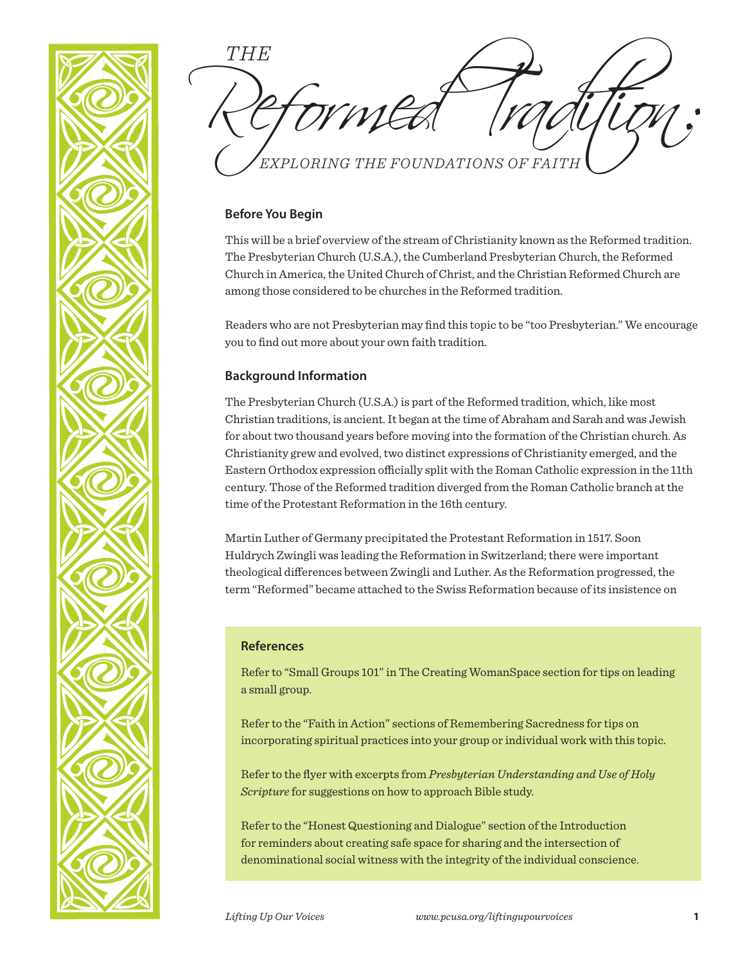

Reformed Tradition: *EXPLORING THE FOUNDATIONS OF FAITH THE*

## **Before You Begin**

This will be a brief overview of the stream of Christianity known as the Reformed tradition. The Presbyterian Church (U.S.A.), the Cumberland Presbyterian Church, the Reformed Church in America, the United Church of Christ, and the Christian Reformed Church are among those considered to be churches in the Reformed tradition.

Readers who are not Presbyterian may find this topic to be "too Presbyterian." We encourage you to find out more about your own faith tradition.

## **Background Information**

The Presbyterian Church (U.S.A.) is part of the Reformed tradition, which, like most Christian traditions, is ancient. It began at the time of Abraham and Sarah and was Jewish for about two thousand years before moving into the formation of the Christian church. As Christianity grew and evolved, two distinct expressions of Christianity emerged, and the Eastern Orthodox expression officially split with the Roman Catholic expression in the 11th century. Those of the Reformed tradition diverged from the Roman Catholic branch at the time of the Protestant Reformation in the 16th century.

Martin Luther of Germany precipitated the Protestant Reformation in 1517. Soon Huldrych Zwingli was leading the Reformation in Switzerland; there were important theological differences between Zwingli and Luther. As the Reformation progressed, the term "Reformed" became attached to the Swiss Reformation because of its insistence on

### **References**

Refer to "Small Groups 101" in The Creating WomanSpace section for tips on leading a small group.

Refer to the "Faith in Action" sections of Remembering Sacredness for tips on incorporating spiritual practices into your group or individual work with this topic.

Refer to the flyer with excerpts from *Presbyterian Understanding and Use of Holy Scripture* for suggestions on how to approach Bible study.

Refer to the "Honest Questioning and Dialogue" section of the Introduction for reminders about creating safe space for sharing and the intersection of denominational social witness with the integrity of the individual conscience.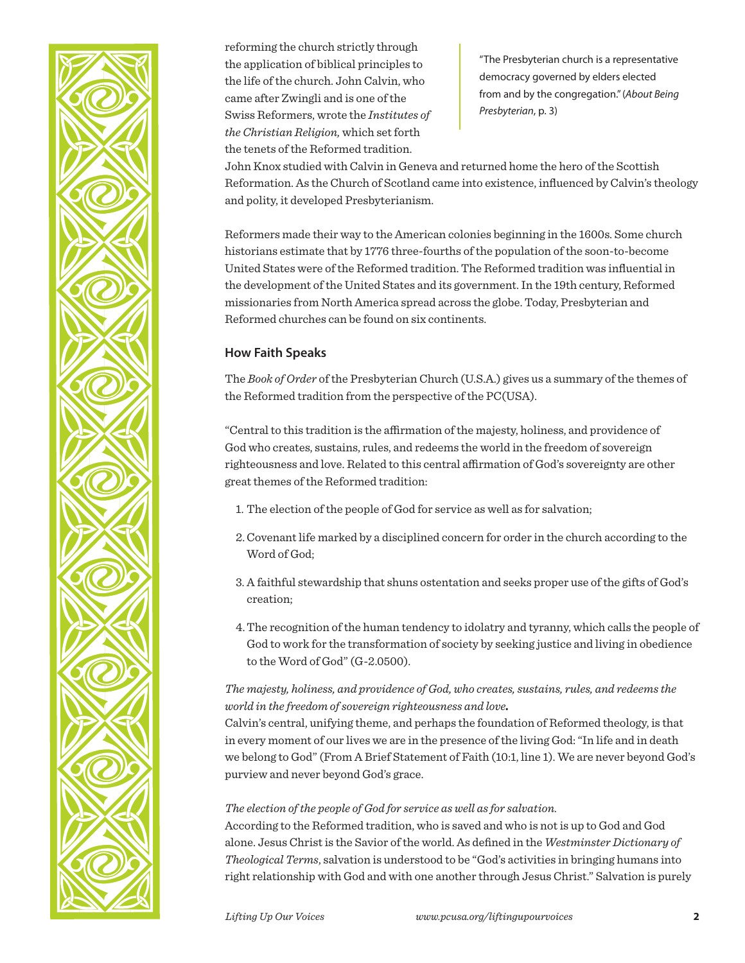

reforming the church strictly through the application of biblical principles to the life of the church. John Calvin, who came after Zwingli and is one of the Swiss Reformers, wrote the *Institutes of the Christian Religion,* which set forth the tenets of the Reformed tradition.

"The Presbyterian church is a representative democracy governed by elders elected from and by the congregation." (*About Being Presbyterian*, p. 3)

John Knox studied with Calvin in Geneva and returned home the hero of the Scottish Reformation. As the Church of Scotland came into existence, influenced by Calvin's theology and polity, it developed Presbyterianism.

Reformers made their way to the American colonies beginning in the 1600s. Some church historians estimate that by 1776 three-fourths of the population of the soon-to-become United States were of the Reformed tradition. The Reformed tradition was influential in the development of the United States and its government. In the 19th century, Reformed missionaries from North America spread across the globe. Today, Presbyterian and Reformed churches can be found on six continents.

# **How Faith Speaks**

The *Book of Order* of the Presbyterian Church (U.S.A.) gives us a summary of the themes of the Reformed tradition from the perspective of the PC(USA).

"Central to this tradition is the affirmation of the majesty, holiness, and providence of God who creates, sustains, rules, and redeems the world in the freedom of sovereign righteousness and love. Related to this central affirmation of God's sovereignty are other great themes of the Reformed tradition:

- 1. The election of the people of God for service as well as for salvation;
- 2.Covenant life marked by a disciplined concern for order in the church according to the Word of God;
- 3. A faithful stewardship that shuns ostentation and seeks proper use of the gifts of God's creation;
- 4.The recognition of the human tendency to idolatry and tyranny, which calls the people of God to work for the transformation of society by seeking justice and living in obedience to the Word of God" (G-2.0500).

# *The majesty, holiness, and providence of God, who creates, sustains, rules, and redeems the world in the freedom of sovereign righteousness and love.*

Calvin's central, unifying theme, and perhaps the foundation of Reformed theology, is that in every moment of our lives we are in the presence of the living God: "In life and in death we belong to God" (From A Brief Statement of Faith (10:1, line 1). We are never beyond God's purview and never beyond God's grace.

### *The election of the people of God for service as well as for salvation.*

According to the Reformed tradition, who is saved and who is not is up to God and God alone. Jesus Christ is the Savior of the world. As defined in the *Westminster Dictionary of Theological Terms*, salvation is understood to be "God's activities in bringing humans into right relationship with God and with one another through Jesus Christ." Salvation is purely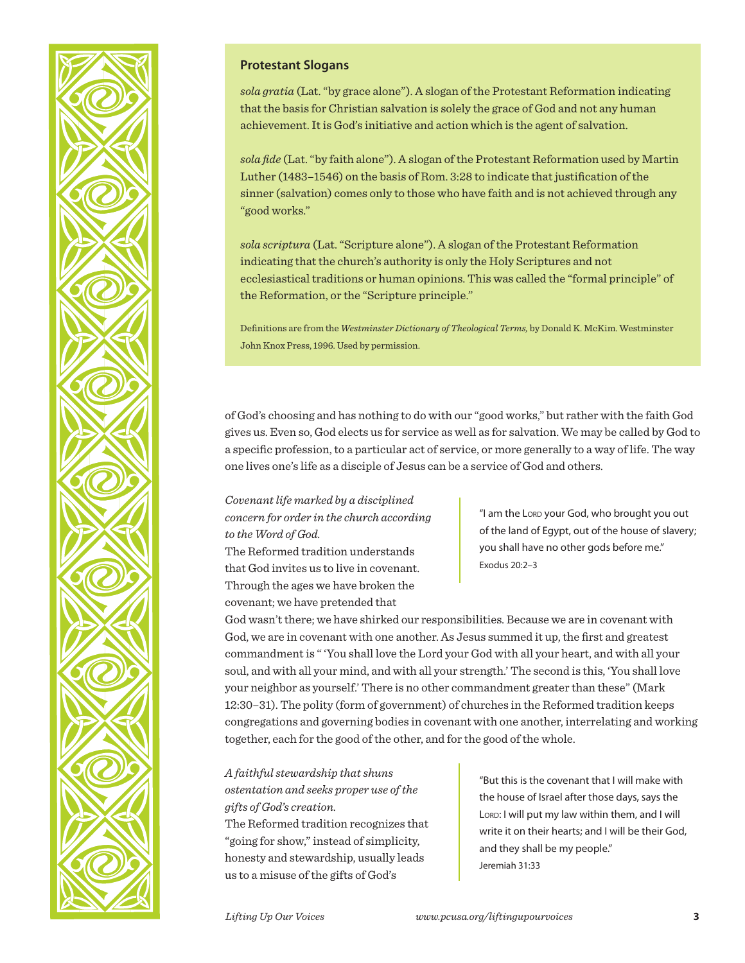

### **Protestant Slogans**

*sola gratia* (Lat. "by grace alone"). A slogan of the Protestant Reformation indicating that the basis for Christian salvation is solely the grace of God and not any human achievement. It is God's initiative and action which is the agent of salvation.

*sola fide* (Lat. "by faith alone"). A slogan of the Protestant Reformation used by Martin Luther (1483–1546) on the basis of Rom. 3:28 to indicate that justification of the sinner (salvation) comes only to those who have faith and is not achieved through any "good works."

*sola scriptura* (Lat. "Scripture alone"). A slogan of the Protestant Reformation indicating that the church's authority is only the Holy Scriptures and not ecclesiastical traditions or human opinions. This was called the "formal principle" of the Reformation, or the "Scripture principle."

Definitions are from the *Westminster Dictionary of Theological Terms,* by Donald K. McKim. Westminster John Knox Press, 1996. Used by permission.

of God's choosing and has nothing to do with our "good works," but rather with the faith God gives us. Even so, God elects us for service as well as for salvation. We may be called by God to a specific profession, to a particular act of service, or more generally to a way of life. The way one lives one's life as a disciple of Jesus can be a service of God and others.

*Covenant life marked by a disciplined concern for order in the church according to the Word of God.*

The Reformed tradition understands that God invites us to live in covenant. Through the ages we have broken the covenant; we have pretended that

"I am the Lord your God, who brought you out of the land of Egypt, out of the house of slavery; you shall have no other gods before me." Exodus 20:2–3

God wasn't there; we have shirked our responsibilities. Because we are in covenant with God, we are in covenant with one another. As Jesus summed it up, the first and greatest commandment is " 'You shall love the Lord your God with all your heart, and with all your soul, and with all your mind, and with all your strength.' The second is this, 'You shall love your neighbor as yourself.' There is no other commandment greater than these" (Mark 12:30–31). The polity (form of government) of churches in the Reformed tradition keeps congregations and governing bodies in covenant with one another, interrelating and working together, each for the good of the other, and for the good of the whole.

# *A faithful stewardship that shuns ostentation and seeks proper use of the gifts of God's creation.*

The Reformed tradition recognizes that "going for show," instead of simplicity, honesty and stewardship, usually leads us to a misuse of the gifts of God's

"But this is the covenant that I will make with the house of Israel after those days, says the LORD: I will put my law within them, and I will write it on their hearts; and I will be their God, and they shall be my people." Jeremiah 31:33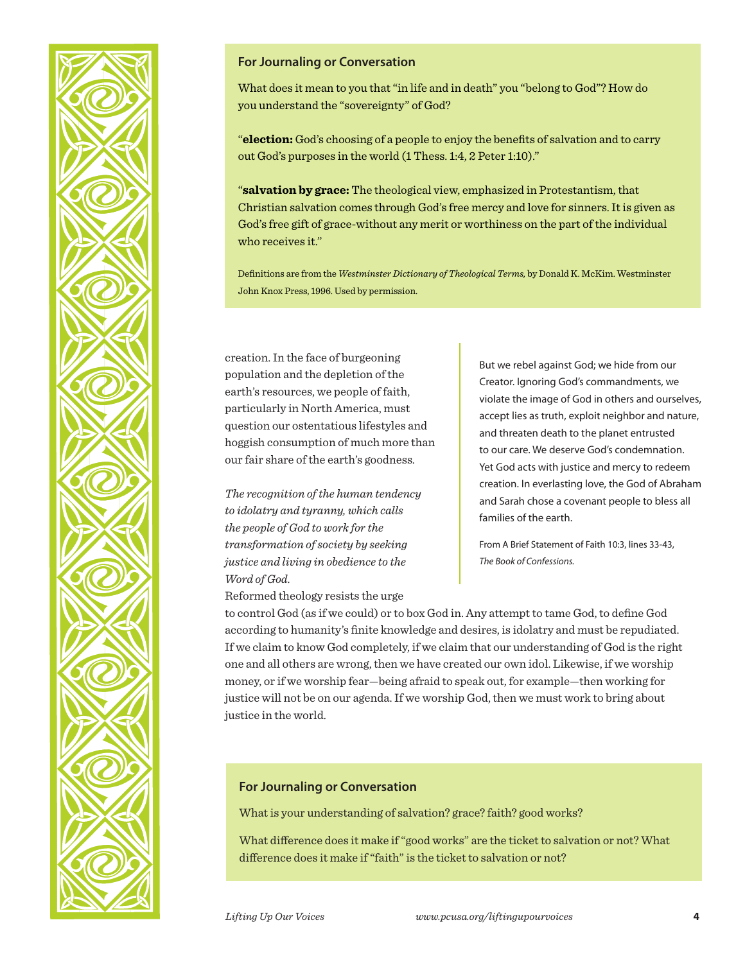

## **For Journaling or Conversation**

What does it mean to you that "in life and in death" you "belong to God"? How do you understand the "sovereignty" of God?

"**election:** God's choosing of a people to enjoy the benefits of salvation and to carry out God's purposes in the world (1 Thess. 1:4, 2 Peter 1:10)."

"**salvation by grace:** The theological view, emphasized in Protestantism, that Christian salvation comes through God's free mercy and love for sinners. It is given as God's free gift of grace-without any merit or worthiness on the part of the individual who receives it."

Definitions are from the *Westminster Dictionary of Theological Terms,* by Donald K. McKim. Westminster John Knox Press, 1996. Used by permission.

creation. In the face of burgeoning population and the depletion of the earth's resources, we people of faith, particularly in North America, must question our ostentatious lifestyles and hoggish consumption of much more than our fair share of the earth's goodness.

*The recognition of the human tendency to idolatry and tyranny, which calls the people of God to work for the transformation of society by seeking justice and living in obedience to the Word of God.*

Reformed theology resists the urge

But we rebel against God; we hide from our Creator. Ignoring God's commandments, we violate the image of God in others and ourselves, accept lies as truth, exploit neighbor and nature, and threaten death to the planet entrusted to our care. We deserve God's condemnation. Yet God acts with justice and mercy to redeem creation. In everlasting love, the God of Abraham and Sarah chose a covenant people to bless all families of the earth.

From A Brief Statement of Faith 10:3, lines 33-43, *The Book of Confessions.*

to control God (as if we could) or to box God in. Any attempt to tame God, to define God according to humanity's finite knowledge and desires, is idolatry and must be repudiated. If we claim to know God completely, if we claim that our understanding of God is the right one and all others are wrong, then we have created our own idol. Likewise, if we worship money, or if we worship fear—being afraid to speak out, for example—then working for justice will not be on our agenda. If we worship God, then we must work to bring about justice in the world.

## **For Journaling or Conversation**

What is your understanding of salvation? grace? faith? good works?

What difference does it make if "good works" are the ticket to salvation or not? What difference does it make if "faith" is the ticket to salvation or not?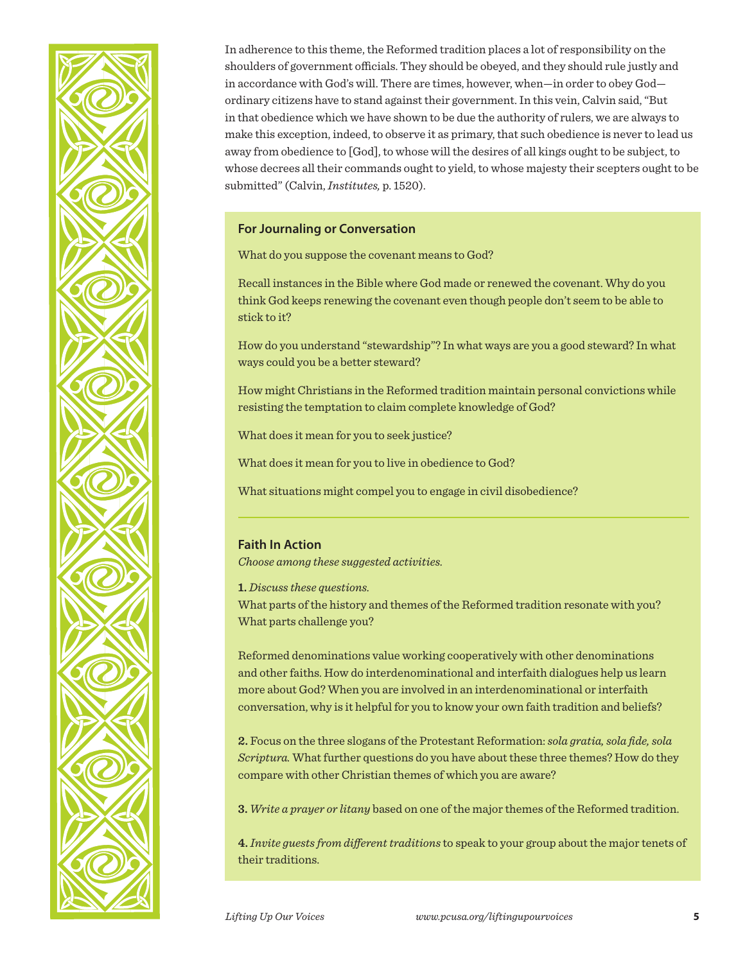

In adherence to this theme, the Reformed tradition places a lot of responsibility on the shoulders of government officials. They should be obeyed, and they should rule justly and in accordance with God's will. There are times, however, when—in order to obey God ordinary citizens have to stand against their government. In this vein, Calvin said, "But in that obedience which we have shown to be due the authority of rulers, we are always to make this exception, indeed, to observe it as primary, that such obedience is never to lead us away from obedience to [God], to whose will the desires of all kings ought to be subject, to whose decrees all their commands ought to yield, to whose majesty their scepters ought to be submitted" (Calvin, *Institutes,* p. 1520).

#### **For Journaling or Conversation**

What do you suppose the covenant means to God?

Recall instances in the Bible where God made or renewed the covenant. Why do you think God keeps renewing the covenant even though people don't seem to be able to stick to it?

How do you understand "stewardship"? In what ways are you a good steward? In what ways could you be a better steward?

How might Christians in the Reformed tradition maintain personal convictions while resisting the temptation to claim complete knowledge of God?

What does it mean for you to seek justice?

What does it mean for you to live in obedience to God?

What situations might compel you to engage in civil disobedience?

### **Faith In Action**

*Choose among these suggested activities.*

**1.** *Discuss these questions.*

What parts of the history and themes of the Reformed tradition resonate with you? What parts challenge you?

Reformed denominations value working cooperatively with other denominations and other faiths. How do interdenominational and interfaith dialogues help us learn more about God? When you are involved in an interdenominational or interfaith conversation, why is it helpful for you to know your own faith tradition and beliefs?

**2.** Focus on the three slogans of the Protestant Reformation: *sola gratia, sola fide, sola Scriptura.* What further questions do you have about these three themes? How do they compare with other Christian themes of which you are aware?

**3.** *Write a prayer or litany* based on one of the major themes of the Reformed tradition.

**4.** *Invite guests from different traditions* to speak to your group about the major tenets of their traditions.